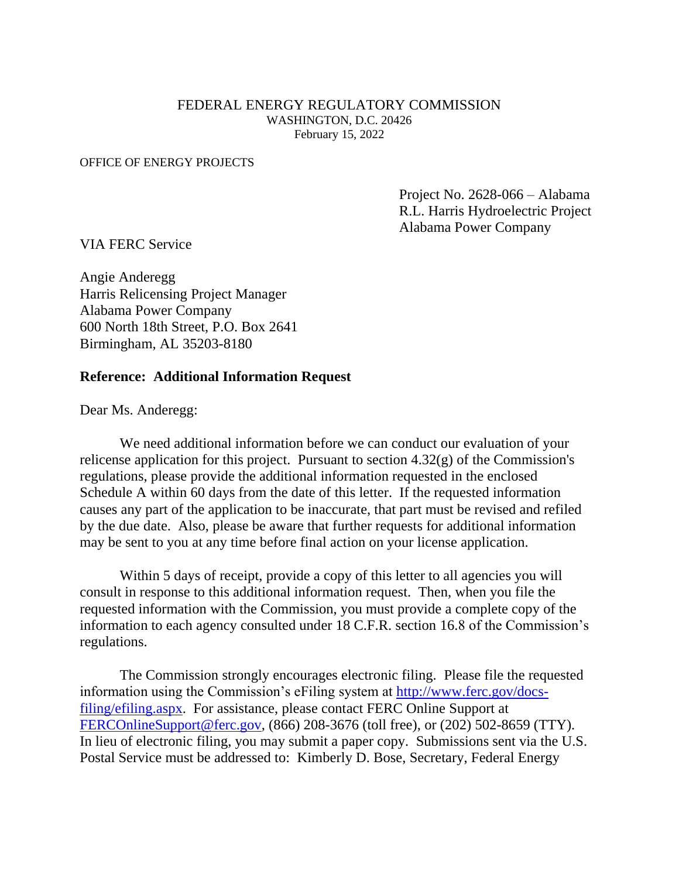#### FEDERAL ENERGY REGULATORY COMMISSION WASHINGTON, D.C. 20426 February 15, 2022

#### OFFICE OF ENERGY PROJECTS

Project No. 2628-066 – Alabama R.L. Harris Hydroelectric Project Alabama Power Company

VIA FERC Service

Angie Anderegg Harris Relicensing Project Manager Alabama Power Company 600 North 18th Street, P.O. Box 2641 Birmingham, AL 35203-8180

#### **Reference: Additional Information Request**

Dear Ms. Anderegg:

We need additional information before we can conduct our evaluation of your relicense application for this project. Pursuant to section  $4.32(g)$  of the Commission's regulations, please provide the additional information requested in the enclosed Schedule A within 60 days from the date of this letter. If the requested information causes any part of the application to be inaccurate, that part must be revised and refiled by the due date. Also, please be aware that further requests for additional information may be sent to you at any time before final action on your license application.

Within 5 days of receipt, provide a copy of this letter to all agencies you will consult in response to this additional information request. Then, when you file the requested information with the Commission, you must provide a complete copy of the information to each agency consulted under 18 C.F.R. section 16.8 of the Commission's regulations.

The Commission strongly encourages electronic filing. Please file the requested information using the Commission's eFiling system at [http://www.ferc.gov/docs](http://www.ferc.gov/docs-filing/efiling.asp)[filing/efiling.aspx](http://www.ferc.gov/docs-filing/efiling.asp). For assistance, please contact FERC Online Support at [FERCOnlineSupport@ferc.gov,](mailto:FERCOnlineSupport@ferc.gov) (866) 208-3676 (toll free), or (202) 502-8659 (TTY). In lieu of electronic filing, you may submit a paper copy. Submissions sent via the U.S. Postal Service must be addressed to: Kimberly D. Bose, Secretary, Federal Energy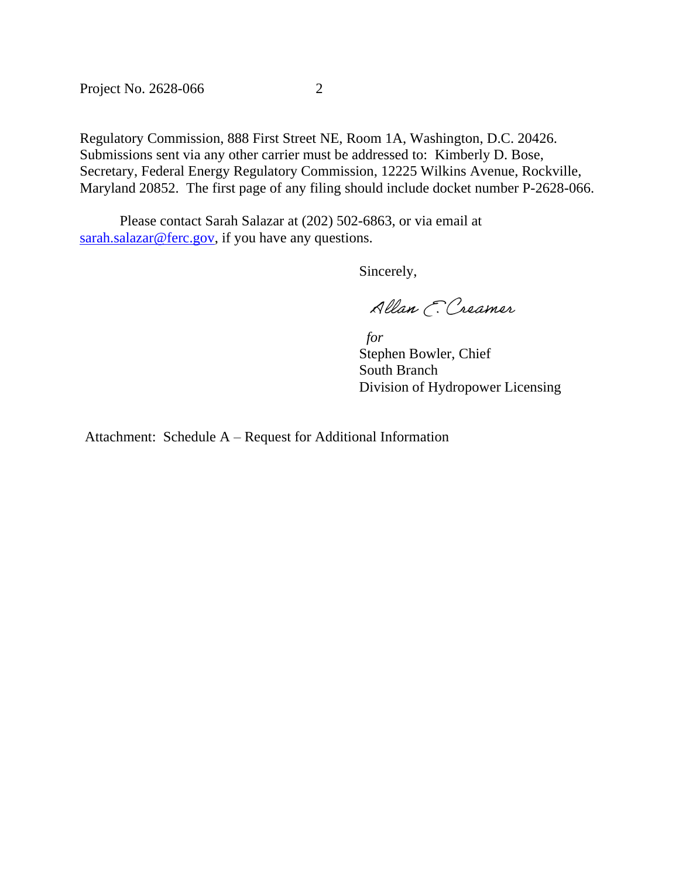Project No. 2628-066 2

Regulatory Commission, 888 First Street NE, Room 1A, Washington, D.C. 20426. Submissions sent via any other carrier must be addressed to: Kimberly D. Bose, Secretary, Federal Energy Regulatory Commission, 12225 Wilkins Avenue, Rockville, Maryland 20852. The first page of any filing should include docket number P-2628-066.

Please contact Sarah Salazar at (202) 502-6863, or via email at [sarah.salazar@ferc.gov,](mailto:sarah.salazar@ferc.gov) if you have any questions.

Sincerely,

Allan E. Creamer

 *for* Stephen Bowler, Chief South Branch Division of Hydropower Licensing

Attachment: Schedule A – Request for Additional Information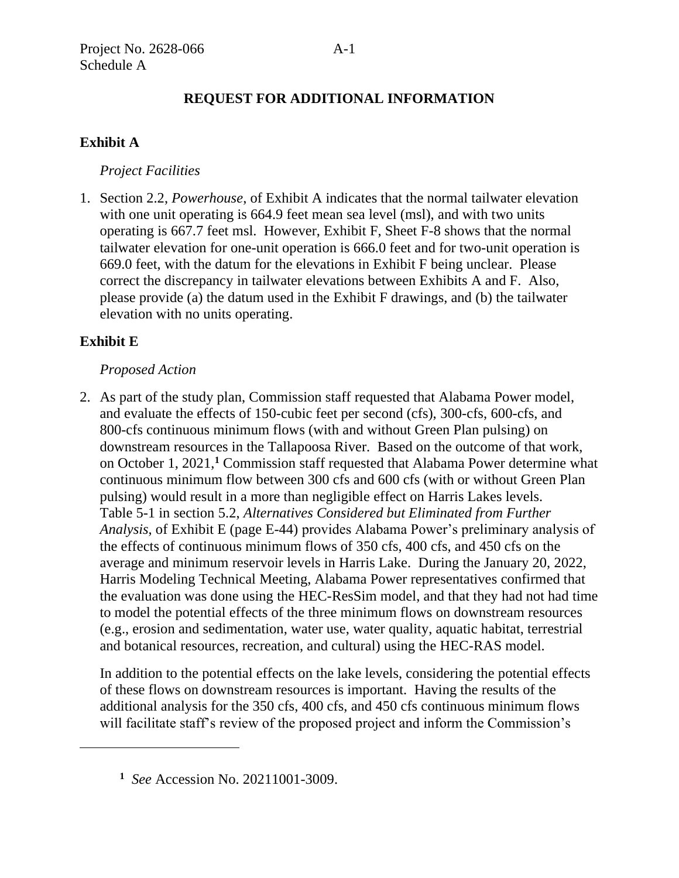# **REQUEST FOR ADDITIONAL INFORMATION**

# **Exhibit A**

## *Project Facilities*

1. Section 2.2, *Powerhouse*, of Exhibit A indicates that the normal tailwater elevation with one unit operating is 664.9 feet mean sea level (msl), and with two units operating is 667.7 feet msl. However, Exhibit F, Sheet F-8 shows that the normal tailwater elevation for one-unit operation is 666.0 feet and for two-unit operation is 669.0 feet, with the datum for the elevations in Exhibit F being unclear. Please correct the discrepancy in tailwater elevations between Exhibits A and F. Also, please provide (a) the datum used in the Exhibit F drawings, and (b) the tailwater elevation with no units operating.

# **Exhibit E**

#### *Proposed Action*

2. As part of the study plan, Commission staff requested that Alabama Power model, and evaluate the effects of 150-cubic feet per second (cfs), 300-cfs, 600-cfs, and 800-cfs continuous minimum flows (with and without Green Plan pulsing) on downstream resources in the Tallapoosa River. Based on the outcome of that work, on October 1, 2021,**<sup>1</sup>** Commission staff requested that Alabama Power determine what continuous minimum flow between 300 cfs and 600 cfs (with or without Green Plan pulsing) would result in a more than negligible effect on Harris Lakes levels. Table 5-1 in section 5.2, *Alternatives Considered but Eliminated from Further Analysis*, of Exhibit E (page E-44) provides Alabama Power's preliminary analysis of the effects of continuous minimum flows of 350 cfs, 400 cfs, and 450 cfs on the average and minimum reservoir levels in Harris Lake. During the January 20, 2022, Harris Modeling Technical Meeting, Alabama Power representatives confirmed that the evaluation was done using the HEC-ResSim model, and that they had not had time to model the potential effects of the three minimum flows on downstream resources (e.g., erosion and sedimentation, water use, water quality, aquatic habitat, terrestrial and botanical resources, recreation, and cultural) using the HEC-RAS model.

In addition to the potential effects on the lake levels, considering the potential effects of these flows on downstream resources is important. Having the results of the additional analysis for the 350 cfs, 400 cfs, and 450 cfs continuous minimum flows will facilitate staff's review of the proposed project and inform the Commission's

**<sup>1</sup>** *See* Accession No. 20211001-3009.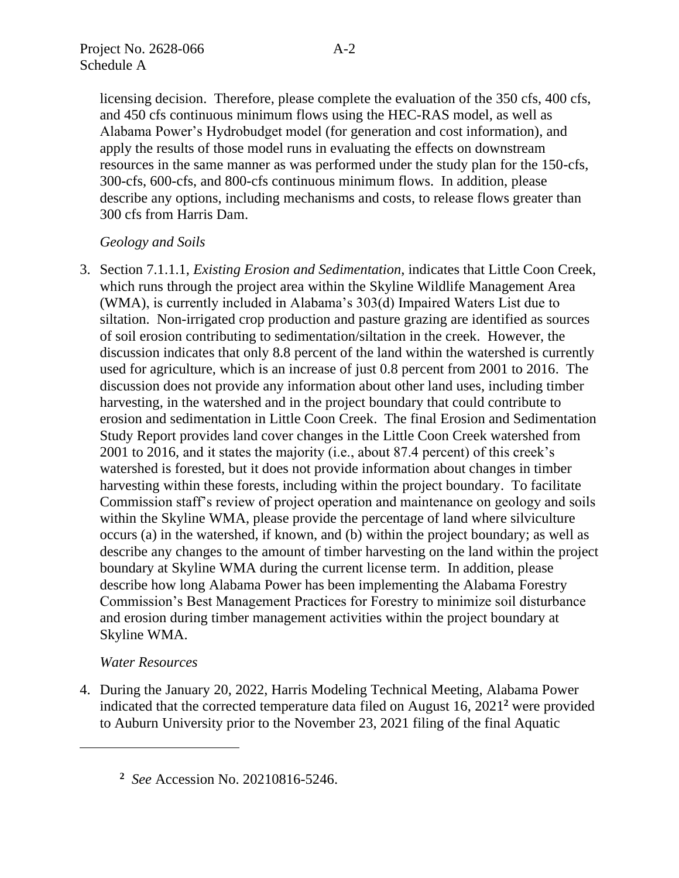licensing decision. Therefore, please complete the evaluation of the 350 cfs, 400 cfs, and 450 cfs continuous minimum flows using the HEC-RAS model, as well as Alabama Power's Hydrobudget model (for generation and cost information), and apply the results of those model runs in evaluating the effects on downstream resources in the same manner as was performed under the study plan for the 150-cfs, 300-cfs, 600-cfs, and 800-cfs continuous minimum flows. In addition, please describe any options, including mechanisms and costs, to release flows greater than 300 cfs from Harris Dam.

## *Geology and Soils*

3. Section 7.1.1.1, *Existing Erosion and Sedimentation*, indicates that Little Coon Creek, which runs through the project area within the Skyline Wildlife Management Area (WMA), is currently included in Alabama's 303(d) Impaired Waters List due to siltation. Non-irrigated crop production and pasture grazing are identified as sources of soil erosion contributing to sedimentation/siltation in the creek. However, the discussion indicates that only 8.8 percent of the land within the watershed is currently used for agriculture, which is an increase of just 0.8 percent from 2001 to 2016. The discussion does not provide any information about other land uses, including timber harvesting, in the watershed and in the project boundary that could contribute to erosion and sedimentation in Little Coon Creek. The final Erosion and Sedimentation Study Report provides land cover changes in the Little Coon Creek watershed from 2001 to 2016, and it states the majority (i.e., about 87.4 percent) of this creek's watershed is forested, but it does not provide information about changes in timber harvesting within these forests, including within the project boundary. To facilitate Commission staff's review of project operation and maintenance on geology and soils within the Skyline WMA, please provide the percentage of land where silviculture occurs (a) in the watershed, if known, and (b) within the project boundary; as well as describe any changes to the amount of timber harvesting on the land within the project boundary at Skyline WMA during the current license term. In addition, please describe how long Alabama Power has been implementing the Alabama Forestry Commission's Best Management Practices for Forestry to minimize soil disturbance and erosion during timber management activities within the project boundary at Skyline WMA.

## *Water Resources*

4. During the January 20, 2022, Harris Modeling Technical Meeting, Alabama Power indicated that the corrected temperature data filed on August 16, 2021**<sup>2</sup>** were provided to Auburn University prior to the November 23, 2021 filing of the final Aquatic

**<sup>2</sup>** *See* Accession No. 20210816-5246.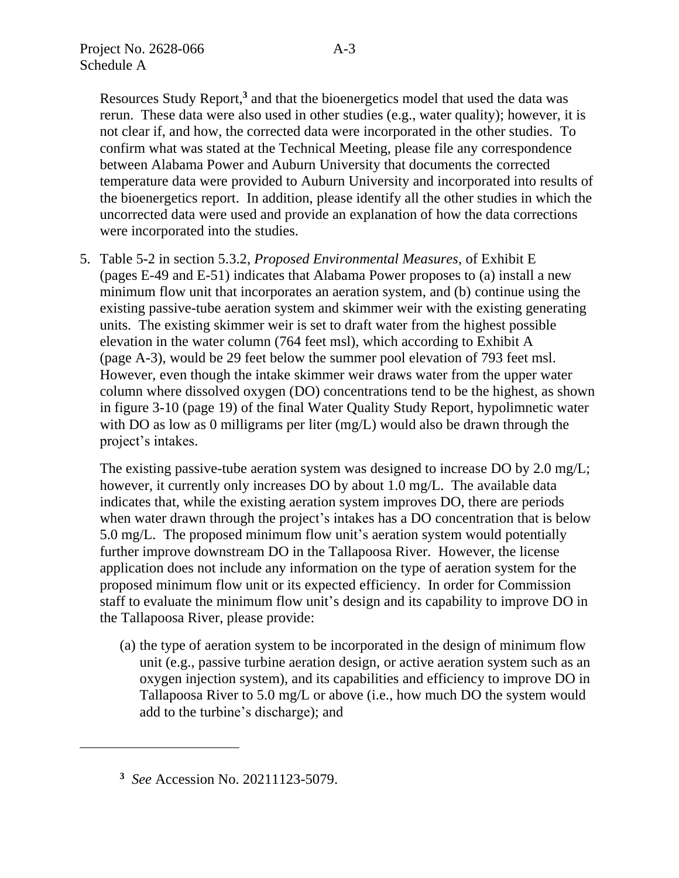Resources Study Report, **3** and that the bioenergetics model that used the data was rerun. These data were also used in other studies (e.g., water quality); however, it is not clear if, and how, the corrected data were incorporated in the other studies. To confirm what was stated at the Technical Meeting, please file any correspondence between Alabama Power and Auburn University that documents the corrected temperature data were provided to Auburn University and incorporated into results of the bioenergetics report. In addition, please identify all the other studies in which the uncorrected data were used and provide an explanation of how the data corrections were incorporated into the studies.

5. Table 5-2 in section 5.3.2, *Proposed Environmental Measures*, of Exhibit E (pages E-49 and E-51) indicates that Alabama Power proposes to (a) install a new minimum flow unit that incorporates an aeration system, and (b) continue using the existing passive-tube aeration system and skimmer weir with the existing generating units. The existing skimmer weir is set to draft water from the highest possible elevation in the water column (764 feet msl), which according to Exhibit A (page A-3), would be 29 feet below the summer pool elevation of 793 feet msl. However, even though the intake skimmer weir draws water from the upper water column where dissolved oxygen (DO) concentrations tend to be the highest, as shown in figure 3-10 (page 19) of the final Water Quality Study Report, hypolimnetic water with DO as low as 0 milligrams per liter (mg/L) would also be drawn through the project's intakes.

The existing passive-tube aeration system was designed to increase DO by 2.0 mg/L; however, it currently only increases DO by about 1.0 mg/L. The available data indicates that, while the existing aeration system improves DO, there are periods when water drawn through the project's intakes has a DO concentration that is below 5.0 mg/L. The proposed minimum flow unit's aeration system would potentially further improve downstream DO in the Tallapoosa River. However, the license application does not include any information on the type of aeration system for the proposed minimum flow unit or its expected efficiency. In order for Commission staff to evaluate the minimum flow unit's design and its capability to improve DO in the Tallapoosa River, please provide:

(a) the type of aeration system to be incorporated in the design of minimum flow unit (e.g., passive turbine aeration design, or active aeration system such as an oxygen injection system), and its capabilities and efficiency to improve DO in Tallapoosa River to 5.0 mg/L or above (i.e., how much DO the system would add to the turbine's discharge); and

**<sup>3</sup>** *See* Accession No. 20211123-5079.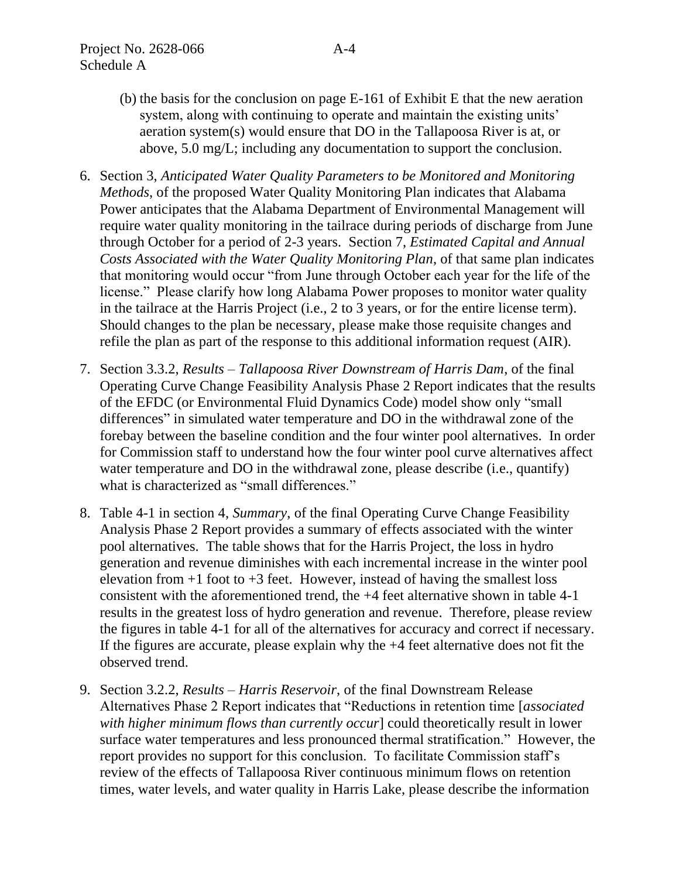- (b) the basis for the conclusion on page E-161 of Exhibit E that the new aeration system, along with continuing to operate and maintain the existing units' aeration system(s) would ensure that DO in the Tallapoosa River is at, or above, 5.0 mg/L; including any documentation to support the conclusion.
- 6. Section 3, *Anticipated Water Quality Parameters to be Monitored and Monitoring Methods*, of the proposed Water Quality Monitoring Plan indicates that Alabama Power anticipates that the Alabama Department of Environmental Management will require water quality monitoring in the tailrace during periods of discharge from June through October for a period of 2-3 years. Section 7, *Estimated Capital and Annual Costs Associated with the Water Quality Monitoring Plan*, of that same plan indicates that monitoring would occur "from June through October each year for the life of the license." Please clarify how long Alabama Power proposes to monitor water quality in the tailrace at the Harris Project (i.e., 2 to 3 years, or for the entire license term). Should changes to the plan be necessary, please make those requisite changes and refile the plan as part of the response to this additional information request (AIR).
- 7. Section 3.3.2, *Results – Tallapoosa River Downstream of Harris Dam*, of the final Operating Curve Change Feasibility Analysis Phase 2 Report indicates that the results of the EFDC (or Environmental Fluid Dynamics Code) model show only "small differences" in simulated water temperature and DO in the withdrawal zone of the forebay between the baseline condition and the four winter pool alternatives. In order for Commission staff to understand how the four winter pool curve alternatives affect water temperature and DO in the withdrawal zone, please describe (i.e., quantify) what is characterized as "small differences."
- 8. Table 4-1 in section 4, *Summary*, of the final Operating Curve Change Feasibility Analysis Phase 2 Report provides a summary of effects associated with the winter pool alternatives. The table shows that for the Harris Project, the loss in hydro generation and revenue diminishes with each incremental increase in the winter pool elevation from  $+1$  foot to  $+3$  feet. However, instead of having the smallest loss consistent with the aforementioned trend, the +4 feet alternative shown in table 4-1 results in the greatest loss of hydro generation and revenue. Therefore, please review the figures in table 4-1 for all of the alternatives for accuracy and correct if necessary. If the figures are accurate, please explain why the +4 feet alternative does not fit the observed trend.
- 9. Section 3.2.2, *Results – Harris Reservoir*, of the final Downstream Release Alternatives Phase 2 Report indicates that "Reductions in retention time [*associated with higher minimum flows than currently occur*] could theoretically result in lower surface water temperatures and less pronounced thermal stratification." However, the report provides no support for this conclusion. To facilitate Commission staff's review of the effects of Tallapoosa River continuous minimum flows on retention times, water levels, and water quality in Harris Lake, please describe the information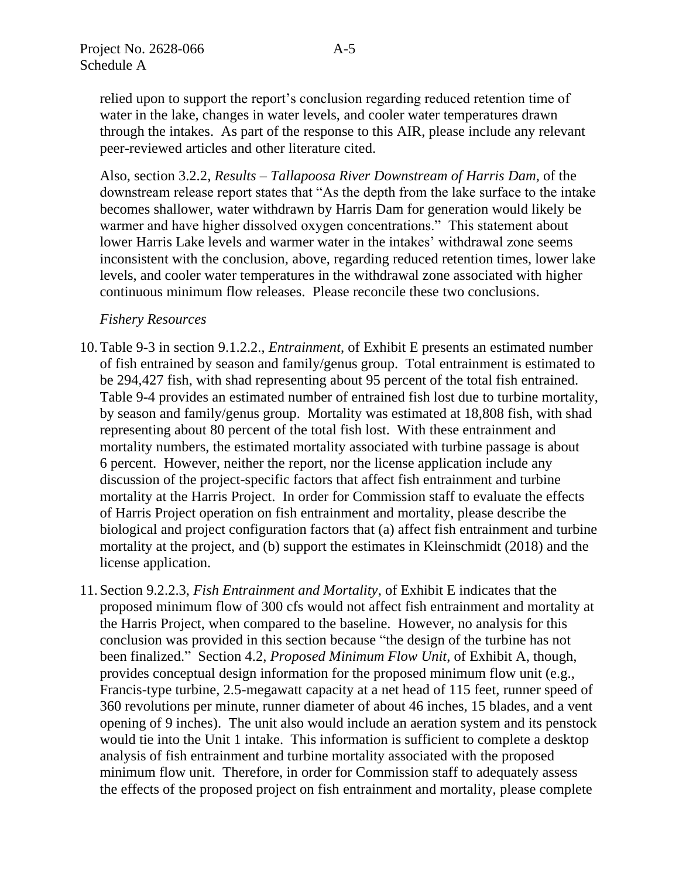relied upon to support the report's conclusion regarding reduced retention time of water in the lake, changes in water levels, and cooler water temperatures drawn through the intakes. As part of the response to this AIR, please include any relevant peer-reviewed articles and other literature cited.

Also, section 3.2.2, *Results – Tallapoosa River Downstream of Harris Dam*, of the downstream release report states that "As the depth from the lake surface to the intake becomes shallower, water withdrawn by Harris Dam for generation would likely be warmer and have higher dissolved oxygen concentrations." This statement about lower Harris Lake levels and warmer water in the intakes' withdrawal zone seems inconsistent with the conclusion, above, regarding reduced retention times, lower lake levels, and cooler water temperatures in the withdrawal zone associated with higher continuous minimum flow releases. Please reconcile these two conclusions.

#### *Fishery Resources*

- 10.Table 9-3 in section 9.1.2.2., *Entrainment*, of Exhibit E presents an estimated number of fish entrained by season and family/genus group. Total entrainment is estimated to be 294,427 fish, with shad representing about 95 percent of the total fish entrained. Table 9-4 provides an estimated number of entrained fish lost due to turbine mortality, by season and family/genus group. Mortality was estimated at 18,808 fish, with shad representing about 80 percent of the total fish lost. With these entrainment and mortality numbers, the estimated mortality associated with turbine passage is about 6 percent. However, neither the report, nor the license application include any discussion of the project-specific factors that affect fish entrainment and turbine mortality at the Harris Project. In order for Commission staff to evaluate the effects of Harris Project operation on fish entrainment and mortality, please describe the biological and project configuration factors that (a) affect fish entrainment and turbine mortality at the project, and (b) support the estimates in Kleinschmidt (2018) and the license application.
- 11.Section 9.2.2.3, *Fish Entrainment and Mortality*, of Exhibit E indicates that the proposed minimum flow of 300 cfs would not affect fish entrainment and mortality at the Harris Project, when compared to the baseline. However, no analysis for this conclusion was provided in this section because "the design of the turbine has not been finalized." Section 4.2, *Proposed Minimum Flow Unit*, of Exhibit A, though, provides conceptual design information for the proposed minimum flow unit (e.g., Francis-type turbine, 2.5-megawatt capacity at a net head of 115 feet, runner speed of 360 revolutions per minute, runner diameter of about 46 inches, 15 blades, and a vent opening of 9 inches). The unit also would include an aeration system and its penstock would tie into the Unit 1 intake. This information is sufficient to complete a desktop analysis of fish entrainment and turbine mortality associated with the proposed minimum flow unit. Therefore, in order for Commission staff to adequately assess the effects of the proposed project on fish entrainment and mortality, please complete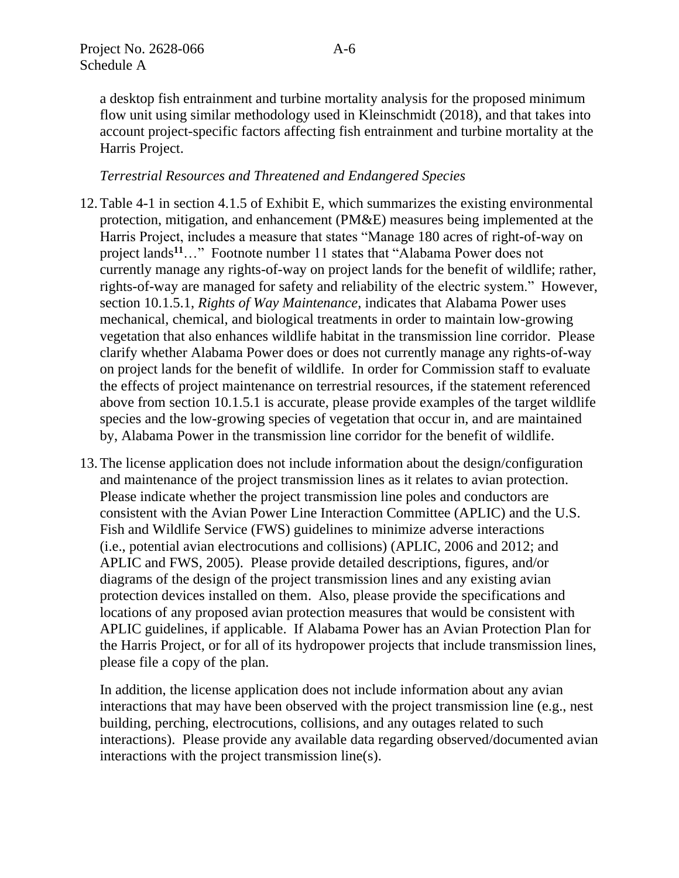a desktop fish entrainment and turbine mortality analysis for the proposed minimum flow unit using similar methodology used in Kleinschmidt (2018), and that takes into account project-specific factors affecting fish entrainment and turbine mortality at the Harris Project.

# *Terrestrial Resources and Threatened and Endangered Species*

- 12.Table 4-1 in section 4.1.5 of Exhibit E, which summarizes the existing environmental protection, mitigation, and enhancement (PM&E) measures being implemented at the Harris Project, includes a measure that states "Manage 180 acres of right-of-way on project lands**<sup>11</sup>**…" Footnote number 11 states that "Alabama Power does not currently manage any rights-of-way on project lands for the benefit of wildlife; rather, rights-of-way are managed for safety and reliability of the electric system." However, section 10.1.5.1, *Rights of Way Maintenance*, indicates that Alabama Power uses mechanical, chemical, and biological treatments in order to maintain low-growing vegetation that also enhances wildlife habitat in the transmission line corridor. Please clarify whether Alabama Power does or does not currently manage any rights-of-way on project lands for the benefit of wildlife. In order for Commission staff to evaluate the effects of project maintenance on terrestrial resources, if the statement referenced above from section 10.1.5.1 is accurate, please provide examples of the target wildlife species and the low-growing species of vegetation that occur in, and are maintained by, Alabama Power in the transmission line corridor for the benefit of wildlife.
- 13.The license application does not include information about the design/configuration and maintenance of the project transmission lines as it relates to avian protection. Please indicate whether the project transmission line poles and conductors are consistent with the Avian Power Line Interaction Committee (APLIC) and the U.S. Fish and Wildlife Service (FWS) guidelines to minimize adverse interactions (i.e., potential avian electrocutions and collisions) (APLIC, 2006 and 2012; and APLIC and FWS, 2005). Please provide detailed descriptions, figures, and/or diagrams of the design of the project transmission lines and any existing avian protection devices installed on them. Also, please provide the specifications and locations of any proposed avian protection measures that would be consistent with APLIC guidelines, if applicable. If Alabama Power has an Avian Protection Plan for the Harris Project, or for all of its hydropower projects that include transmission lines, please file a copy of the plan.

In addition, the license application does not include information about any avian interactions that may have been observed with the project transmission line (e.g., nest building, perching, electrocutions, collisions, and any outages related to such interactions). Please provide any available data regarding observed/documented avian interactions with the project transmission line(s).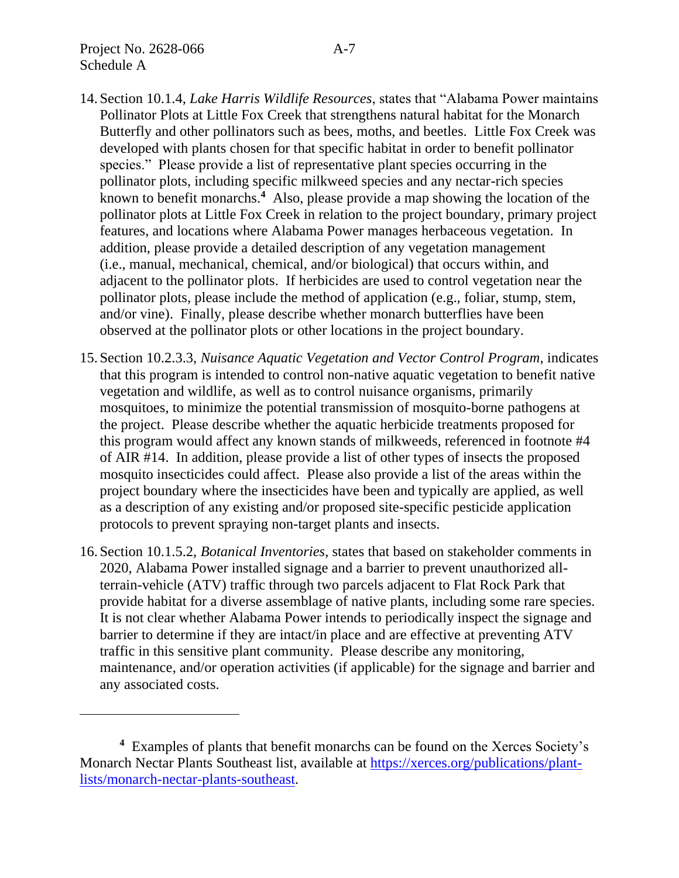- 14.Section 10.1.4, *Lake Harris Wildlife Resources*, states that "Alabama Power maintains Pollinator Plots at Little Fox Creek that strengthens natural habitat for the Monarch Butterfly and other pollinators such as bees, moths, and beetles. Little Fox Creek was developed with plants chosen for that specific habitat in order to benefit pollinator species." Please provide a list of representative plant species occurring in the pollinator plots, including specific milkweed species and any nectar-rich species known to benefit monarchs.**<sup>4</sup>** Also, please provide a map showing the location of the pollinator plots at Little Fox Creek in relation to the project boundary, primary project features, and locations where Alabama Power manages herbaceous vegetation. In addition, please provide a detailed description of any vegetation management (i.e., manual, mechanical, chemical, and/or biological) that occurs within, and adjacent to the pollinator plots. If herbicides are used to control vegetation near the pollinator plots, please include the method of application (e.g., foliar, stump, stem, and/or vine). Finally, please describe whether monarch butterflies have been observed at the pollinator plots or other locations in the project boundary.
- 15.Section 10.2.3.3, *Nuisance Aquatic Vegetation and Vector Control Program*, indicates that this program is intended to control non-native aquatic vegetation to benefit native vegetation and wildlife, as well as to control nuisance organisms, primarily mosquitoes, to minimize the potential transmission of mosquito-borne pathogens at the project. Please describe whether the aquatic herbicide treatments proposed for this program would affect any known stands of milkweeds, referenced in footnote #4 of AIR #14. In addition, please provide a list of other types of insects the proposed mosquito insecticides could affect. Please also provide a list of the areas within the project boundary where the insecticides have been and typically are applied, as well as a description of any existing and/or proposed site-specific pesticide application protocols to prevent spraying non-target plants and insects.
- 16.Section 10.1.5.2, *Botanical Inventories*, states that based on stakeholder comments in 2020, Alabama Power installed signage and a barrier to prevent unauthorized allterrain-vehicle (ATV) traffic through two parcels adjacent to Flat Rock Park that provide habitat for a diverse assemblage of native plants, including some rare species. It is not clear whether Alabama Power intends to periodically inspect the signage and barrier to determine if they are intact/in place and are effective at preventing ATV traffic in this sensitive plant community. Please describe any monitoring, maintenance, and/or operation activities (if applicable) for the signage and barrier and any associated costs.

**<sup>4</sup>** Examples of plants that benefit monarchs can be found on the Xerces Society's Monarch Nectar Plants Southeast list, available at [https://xerces.org/publications/plant](https://xerces.org/publications/plant-lists/monarch-nectar-plants-southeast)[lists/monarch-nectar-plants-southeast.](https://xerces.org/publications/plant-lists/monarch-nectar-plants-southeast)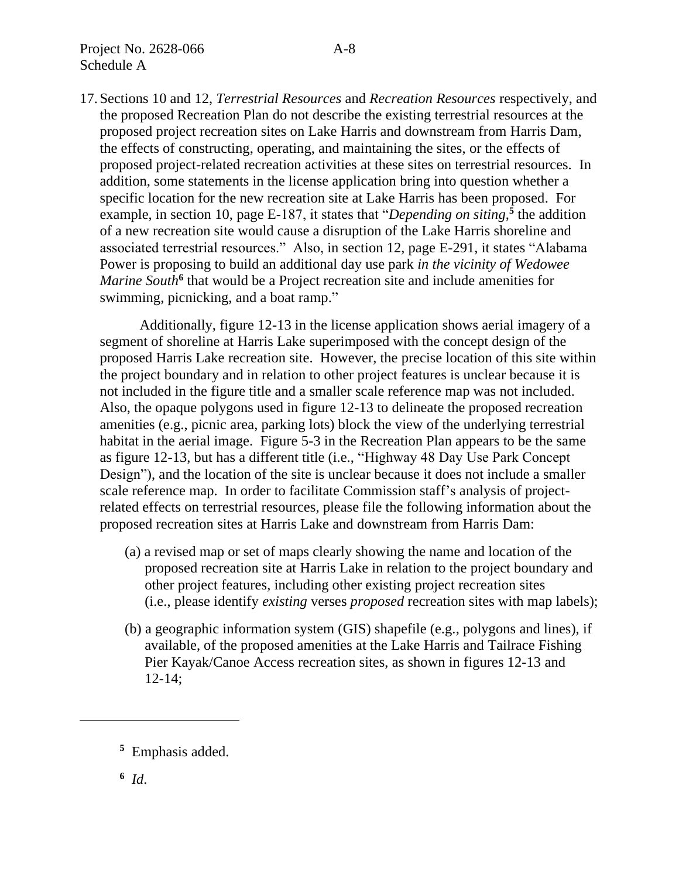17.Sections 10 and 12, *Terrestrial Resources* and *Recreation Resources* respectively, and the proposed Recreation Plan do not describe the existing terrestrial resources at the proposed project recreation sites on Lake Harris and downstream from Harris Dam, the effects of constructing, operating, and maintaining the sites, or the effects of proposed project-related recreation activities at these sites on terrestrial resources. In addition, some statements in the license application bring into question whether a specific location for the new recreation site at Lake Harris has been proposed. For example, in section 10, page E-187, it states that "*Depending on siting*,<sup>5</sup> the addition of a new recreation site would cause a disruption of the Lake Harris shoreline and associated terrestrial resources." Also, in section 12, page E-291, it states "Alabama Power is proposing to build an additional day use park *in the vicinity of Wedowee*  Marine South<sup>6</sup> that would be a Project recreation site and include amenities for swimming, picnicking, and a boat ramp."

Additionally, figure 12-13 in the license application shows aerial imagery of a segment of shoreline at Harris Lake superimposed with the concept design of the proposed Harris Lake recreation site. However, the precise location of this site within the project boundary and in relation to other project features is unclear because it is not included in the figure title and a smaller scale reference map was not included. Also, the opaque polygons used in figure 12-13 to delineate the proposed recreation amenities (e.g., picnic area, parking lots) block the view of the underlying terrestrial habitat in the aerial image. Figure 5-3 in the Recreation Plan appears to be the same as figure 12-13, but has a different title (i.e., "Highway 48 Day Use Park Concept Design"), and the location of the site is unclear because it does not include a smaller scale reference map. In order to facilitate Commission staff's analysis of projectrelated effects on terrestrial resources, please file the following information about the proposed recreation sites at Harris Lake and downstream from Harris Dam:

- (a) a revised map or set of maps clearly showing the name and location of the proposed recreation site at Harris Lake in relation to the project boundary and other project features, including other existing project recreation sites (i.e., please identify *existing* verses *proposed* recreation sites with map labels);
- (b) a geographic information system (GIS) shapefile (e.g., polygons and lines), if available, of the proposed amenities at the Lake Harris and Tailrace Fishing Pier Kayak/Canoe Access recreation sites, as shown in figures 12-13 and 12-14;

**<sup>5</sup>** Emphasis added.

**<sup>6</sup>** *Id*.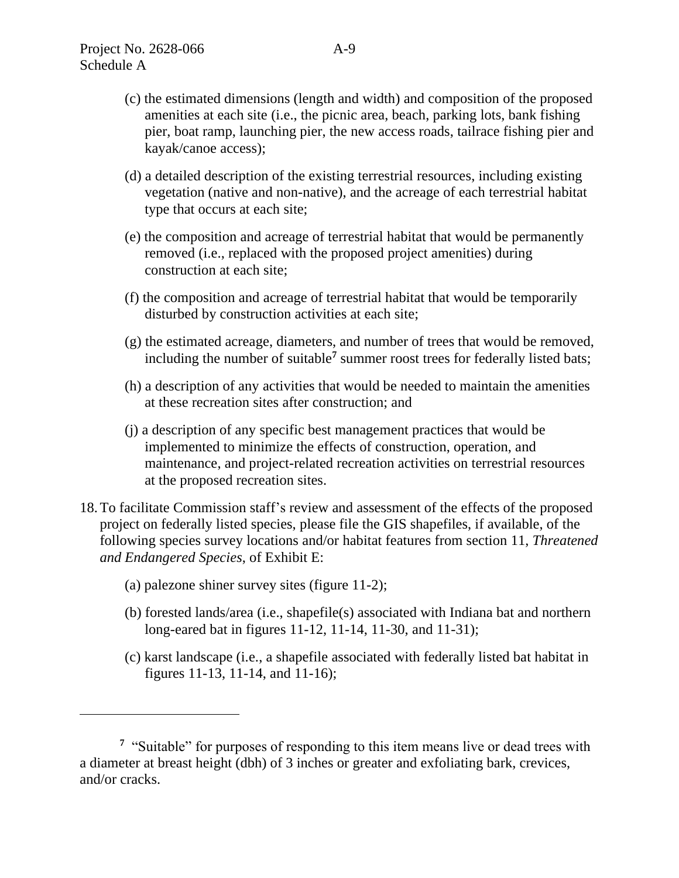- (d) a detailed description of the existing terrestrial resources, including existing vegetation (native and non-native), and the acreage of each terrestrial habitat type that occurs at each site;
- (e) the composition and acreage of terrestrial habitat that would be permanently removed (i.e., replaced with the proposed project amenities) during construction at each site;
- (f) the composition and acreage of terrestrial habitat that would be temporarily disturbed by construction activities at each site;
- (g) the estimated acreage, diameters, and number of trees that would be removed, including the number of suitable**<sup>7</sup>** summer roost trees for federally listed bats;
- (h) a description of any activities that would be needed to maintain the amenities at these recreation sites after construction; and
- (j) a description of any specific best management practices that would be implemented to minimize the effects of construction, operation, and maintenance, and project-related recreation activities on terrestrial resources at the proposed recreation sites.
- 18.To facilitate Commission staff's review and assessment of the effects of the proposed project on federally listed species, please file the GIS shapefiles, if available, of the following species survey locations and/or habitat features from section 11, *Threatened and Endangered Species*, of Exhibit E:
	- (a) palezone shiner survey sites (figure 11-2);
	- (b) forested lands/area (i.e., shapefile(s) associated with Indiana bat and northern long-eared bat in figures 11-12, 11-14, 11-30, and 11-31);
	- (c) karst landscape (i.e., a shapefile associated with federally listed bat habitat in figures 11-13, 11-14, and 11-16);

<sup>&</sup>lt;sup>7</sup> "Suitable" for purposes of responding to this item means live or dead trees with a diameter at breast height (dbh) of 3 inches or greater and exfoliating bark, crevices, and/or cracks.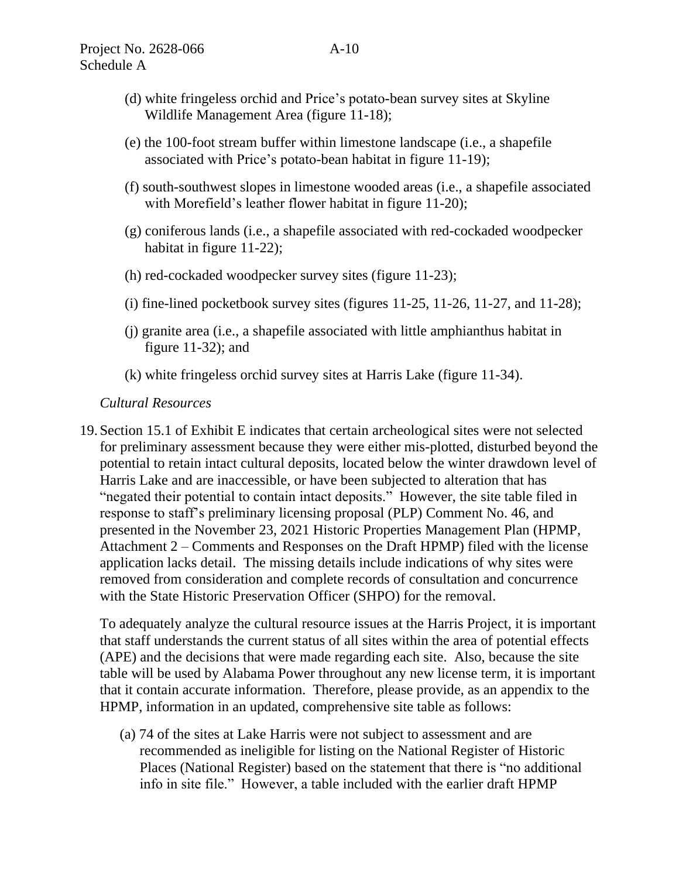- (d) white fringeless orchid and Price's potato-bean survey sites at Skyline Wildlife Management Area (figure 11-18);
- (e) the 100-foot stream buffer within limestone landscape (i.e., a shapefile associated with Price's potato-bean habitat in figure 11-19);
- (f) south-southwest slopes in limestone wooded areas (i.e., a shapefile associated with Morefield's leather flower habitat in figure 11-20);
- (g) coniferous lands (i.e., a shapefile associated with red-cockaded woodpecker habitat in figure 11-22);
- (h) red-cockaded woodpecker survey sites (figure 11-23);
- (i) fine-lined pocketbook survey sites (figures  $11-25$ ,  $11-26$ ,  $11-27$ , and  $11-28$ );
- (j) granite area (i.e., a shapefile associated with little amphianthus habitat in figure 11-32); and
- (k) white fringeless orchid survey sites at Harris Lake (figure 11-34).

# *Cultural Resources*

19.Section 15.1 of Exhibit E indicates that certain archeological sites were not selected for preliminary assessment because they were either mis-plotted, disturbed beyond the potential to retain intact cultural deposits, located below the winter drawdown level of Harris Lake and are inaccessible, or have been subjected to alteration that has "negated their potential to contain intact deposits." However, the site table filed in response to staff's preliminary licensing proposal (PLP) Comment No. 46, and presented in the November 23, 2021 Historic Properties Management Plan (HPMP, Attachment 2 – Comments and Responses on the Draft HPMP) filed with the license application lacks detail. The missing details include indications of why sites were removed from consideration and complete records of consultation and concurrence with the State Historic Preservation Officer (SHPO) for the removal.

To adequately analyze the cultural resource issues at the Harris Project, it is important that staff understands the current status of all sites within the area of potential effects (APE) and the decisions that were made regarding each site. Also, because the site table will be used by Alabama Power throughout any new license term, it is important that it contain accurate information. Therefore, please provide, as an appendix to the HPMP, information in an updated, comprehensive site table as follows:

(a) 74 of the sites at Lake Harris were not subject to assessment and are recommended as ineligible for listing on the National Register of Historic Places (National Register) based on the statement that there is "no additional info in site file." However, a table included with the earlier draft HPMP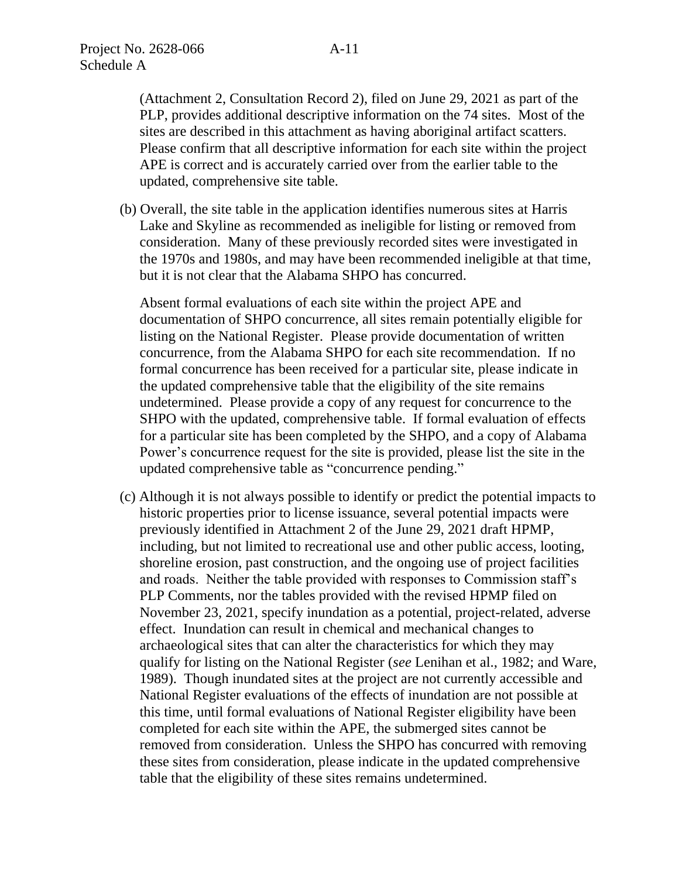(Attachment 2, Consultation Record 2), filed on June 29, 2021 as part of the PLP, provides additional descriptive information on the 74 sites. Most of the sites are described in this attachment as having aboriginal artifact scatters. Please confirm that all descriptive information for each site within the project APE is correct and is accurately carried over from the earlier table to the updated, comprehensive site table.

(b) Overall, the site table in the application identifies numerous sites at Harris Lake and Skyline as recommended as ineligible for listing or removed from consideration. Many of these previously recorded sites were investigated in the 1970s and 1980s, and may have been recommended ineligible at that time, but it is not clear that the Alabama SHPO has concurred.

Absent formal evaluations of each site within the project APE and documentation of SHPO concurrence, all sites remain potentially eligible for listing on the National Register. Please provide documentation of written concurrence, from the Alabama SHPO for each site recommendation. If no formal concurrence has been received for a particular site, please indicate in the updated comprehensive table that the eligibility of the site remains undetermined. Please provide a copy of any request for concurrence to the SHPO with the updated, comprehensive table. If formal evaluation of effects for a particular site has been completed by the SHPO, and a copy of Alabama Power's concurrence request for the site is provided, please list the site in the updated comprehensive table as "concurrence pending."

(c) Although it is not always possible to identify or predict the potential impacts to historic properties prior to license issuance, several potential impacts were previously identified in Attachment 2 of the June 29, 2021 draft HPMP, including, but not limited to recreational use and other public access, looting, shoreline erosion, past construction, and the ongoing use of project facilities and roads. Neither the table provided with responses to Commission staff's PLP Comments, nor the tables provided with the revised HPMP filed on November 23, 2021, specify inundation as a potential, project-related, adverse effect. Inundation can result in chemical and mechanical changes to archaeological sites that can alter the characteristics for which they may qualify for listing on the National Register (*see* Lenihan et al., 1982; and Ware, 1989). Though inundated sites at the project are not currently accessible and National Register evaluations of the effects of inundation are not possible at this time, until formal evaluations of National Register eligibility have been completed for each site within the APE, the submerged sites cannot be removed from consideration. Unless the SHPO has concurred with removing these sites from consideration, please indicate in the updated comprehensive table that the eligibility of these sites remains undetermined.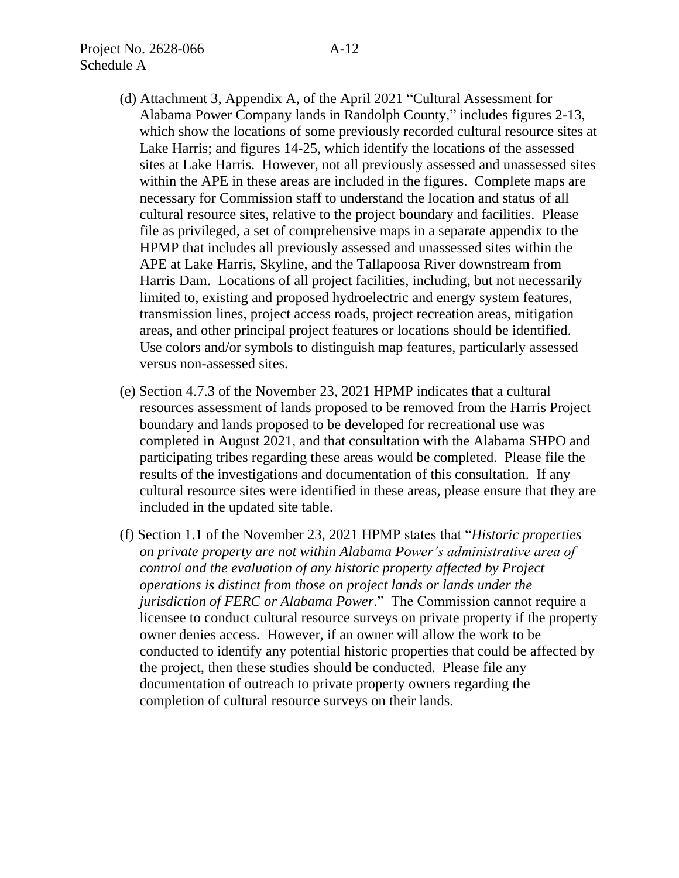- (d) Attachment 3, Appendix A, of the April 2021 "Cultural Assessment for Alabama Power Company lands in Randolph County," includes figures 2-13, which show the locations of some previously recorded cultural resource sites at Lake Harris; and figures 14-25, which identify the locations of the assessed sites at Lake Harris. However, not all previously assessed and unassessed sites within the APE in these areas are included in the figures. Complete maps are necessary for Commission staff to understand the location and status of all cultural resource sites, relative to the project boundary and facilities. Please file as privileged, a set of comprehensive maps in a separate appendix to the HPMP that includes all previously assessed and unassessed sites within the APE at Lake Harris, Skyline, and the Tallapoosa River downstream from Harris Dam. Locations of all project facilities, including, but not necessarily limited to, existing and proposed hydroelectric and energy system features, transmission lines, project access roads, project recreation areas, mitigation areas, and other principal project features or locations should be identified. Use colors and/or symbols to distinguish map features, particularly assessed versus non-assessed sites.
- (e) Section 4.7.3 of the November 23, 2021 HPMP indicates that a cultural resources assessment of lands proposed to be removed from the Harris Project boundary and lands proposed to be developed for recreational use was completed in August 2021, and that consultation with the Alabama SHPO and participating tribes regarding these areas would be completed. Please file the results of the investigations and documentation of this consultation. If any cultural resource sites were identified in these areas, please ensure that they are included in the updated site table.
- (f) Section 1.1 of the November 23, 2021 HPMP states that "*Historic properties on private property are not within Alabama Power's administrative area of control and the evaluation of any historic property affected by Project operations is distinct from those on project lands or lands under the jurisdiction of FERC or Alabama Power*." The Commission cannot require a licensee to conduct cultural resource surveys on private property if the property owner denies access. However, if an owner will allow the work to be conducted to identify any potential historic properties that could be affected by the project, then these studies should be conducted. Please file any documentation of outreach to private property owners regarding the completion of cultural resource surveys on their lands.